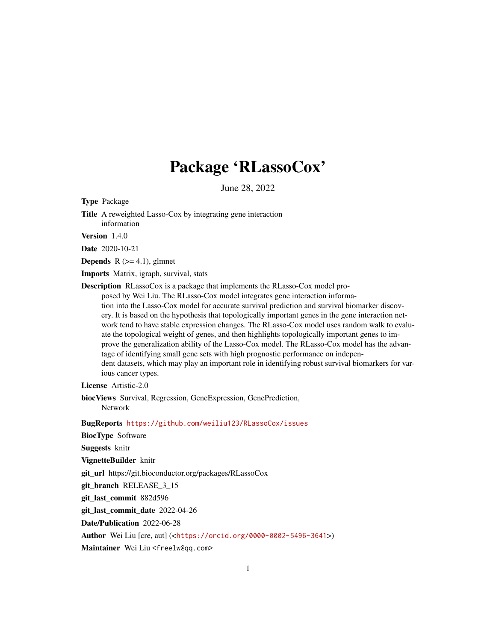## Package 'RLassoCox'

June 28, 2022

<span id="page-0-0"></span>Type Package

Title A reweighted Lasso-Cox by integrating gene interaction information

Version 1.4.0

Date 2020-10-21

**Depends** R  $(>= 4.1)$ , glmnet

Imports Matrix, igraph, survival, stats

Description RLassoCox is a package that implements the RLasso-Cox model proposed by Wei Liu. The RLasso-Cox model integrates gene interaction information into the Lasso-Cox model for accurate survival prediction and survival biomarker discovery. It is based on the hypothesis that topologically important genes in the gene interaction network tend to have stable expression changes. The RLasso-Cox model uses random walk to evaluate the topological weight of genes, and then highlights topologically important genes to improve the generalization ability of the Lasso-Cox model. The RLasso-Cox model has the advantage of identifying small gene sets with high prognostic performance on independent datasets, which may play an important role in identifying robust survival biomarkers for various cancer types.

License Artistic-2.0

biocViews Survival, Regression, GeneExpression, GenePrediction, Network

BugReports <https://github.com/weiliu123/RLassoCox/issues>

BiocType Software

Suggests knitr

VignetteBuilder knitr

git\_url https://git.bioconductor.org/packages/RLassoCox

git\_branch RELEASE\_3\_15

git\_last\_commit 882d596

git\_last\_commit\_date 2022-04-26

Date/Publication 2022-06-28

Author Wei Liu [cre, aut] (<<https://orcid.org/0000-0002-5496-3641>>)

Maintainer Wei Liu <freelw@qq.com>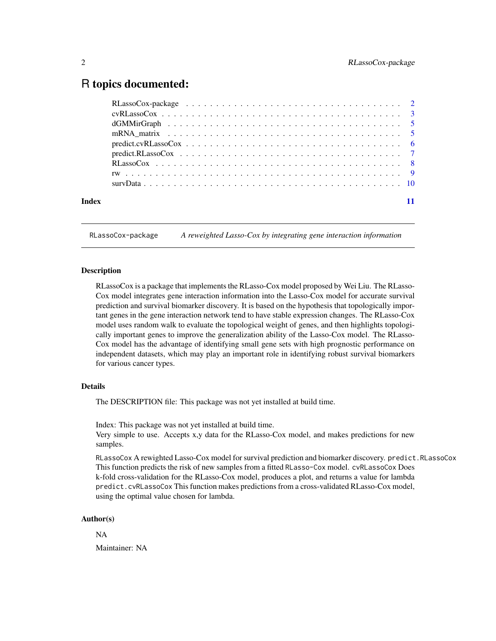### <span id="page-1-0"></span>R topics documented:

|       | $cvRLassoCox \dots \dots \dots \dots \dots \dots \dots \dots \dots \dots \dots \dots \dots \dots \dots \dots \dots \dots$                                                                                                                                                                                                                                                                                                                                                                                                                                                                                        |
|-------|------------------------------------------------------------------------------------------------------------------------------------------------------------------------------------------------------------------------------------------------------------------------------------------------------------------------------------------------------------------------------------------------------------------------------------------------------------------------------------------------------------------------------------------------------------------------------------------------------------------|
|       |                                                                                                                                                                                                                                                                                                                                                                                                                                                                                                                                                                                                                  |
|       |                                                                                                                                                                                                                                                                                                                                                                                                                                                                                                                                                                                                                  |
|       | $predict.cvRLasso Cox \nightharpoonup \nightharpoonup \nightharpoonup \nightharpoonup \nightharpoonup \nightharpoonup \nightharpoonup \nightharpoonup \nightharpoonup \nightharpoonup \nightharpoonup \nightharpoonup \nightharpoonup \nightharpoonup \nightharpoonup \nightharpoonup \nightharpoonup \nightharpoonup \nightharpoonup \nightharpoonup \nightharpoonup \nightharpoonup \nightharpoonup \nightharpoonup \nightharpoonup \nightharpoonup \nightharpoonup \nightharpoonup \nightharpoonup \nightharpoonup \nightharpoonup \nightharpoonup \nightharpoonup \nightharpoonup \nightharpoonup \nighthar$ |
|       |                                                                                                                                                                                                                                                                                                                                                                                                                                                                                                                                                                                                                  |
|       |                                                                                                                                                                                                                                                                                                                                                                                                                                                                                                                                                                                                                  |
|       |                                                                                                                                                                                                                                                                                                                                                                                                                                                                                                                                                                                                                  |
|       |                                                                                                                                                                                                                                                                                                                                                                                                                                                                                                                                                                                                                  |
| Index |                                                                                                                                                                                                                                                                                                                                                                                                                                                                                                                                                                                                                  |
|       |                                                                                                                                                                                                                                                                                                                                                                                                                                                                                                                                                                                                                  |

RLassoCox-package *A reweighted Lasso-Cox by integrating gene interaction information*

#### Description

RLassoCox is a package that implements the RLasso-Cox model proposed by Wei Liu. The RLasso-Cox model integrates gene interaction information into the Lasso-Cox model for accurate survival prediction and survival biomarker discovery. It is based on the hypothesis that topologically important genes in the gene interaction network tend to have stable expression changes. The RLasso-Cox model uses random walk to evaluate the topological weight of genes, and then highlights topologically important genes to improve the generalization ability of the Lasso-Cox model. The RLasso-Cox model has the advantage of identifying small gene sets with high prognostic performance on independent datasets, which may play an important role in identifying robust survival biomarkers for various cancer types.

#### Details

The DESCRIPTION file: This package was not yet installed at build time.

Index: This package was not yet installed at build time.

Very simple to use. Accepts x,y data for the RLasso-Cox model, and makes predictions for new samples.

RLassoCox A rewighted Lasso-Cox model for survival prediction and biomarker discovery. predict.RLassoCox This function predicts the risk of new samples from a fitted RLasso-Cox model. cvRLassoCox Does k-fold cross-validation for the RLasso-Cox model, produces a plot, and returns a value for lambda predict.cvRLassoCox This function makes predictions from a cross-validated RLasso-Cox model, using the optimal value chosen for lambda.

#### Author(s)

NA Maintainer: NA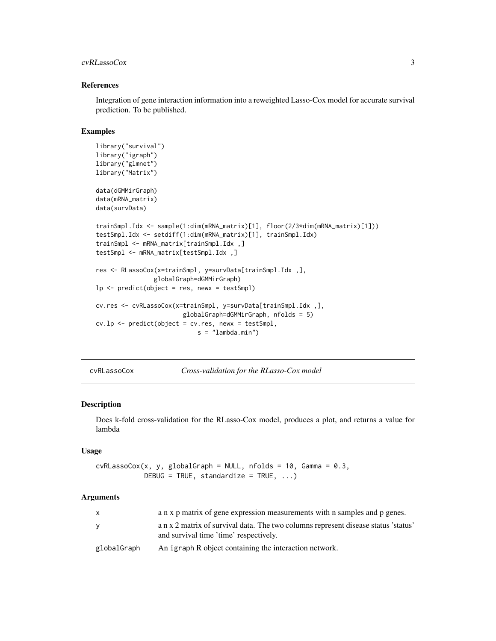#### <span id="page-2-0"></span>cvRLassoCox 3

#### References

Integration of gene interaction information into a reweighted Lasso-Cox model for accurate survival prediction. To be published.

#### Examples

```
library("survival")
library("igraph")
library("glmnet")
library("Matrix")
data(dGMMirGraph)
data(mRNA_matrix)
data(survData)
trainSmpl.Idx <- sample(1:dim(mRNA_matrix)[1], floor(2/3*dim(mRNA_matrix)[1]))
testSmpl.Idx <- setdiff(1:dim(mRNA_matrix)[1], trainSmpl.Idx)
trainSmpl <- mRNA_matrix[trainSmpl.Idx ,]
testSmpl <- mRNA_matrix[testSmpl.Idx ,]
res <- RLassoCox(x=trainSmpl, y=survData[trainSmpl.Idx ,],
                 globalGraph=dGMMirGraph)
lp \leftarrow predict(object = res, newx = testSmpl)cv.res <- cvRLassoCox(x=trainSmpl, y=survData[trainSmpl.Idx ,],
                         globalGraph=dGMMirGraph, nfolds = 5)
cv \cdot lp \leftarrow predict(object = cv \cdot res, new = testSmpl,s = "lambda.mba.min")
```
cvRLassoCox *Cross-validation for the RLasso-Cox model*

#### Description

Does k-fold cross-validation for the RLasso-Cox model, produces a plot, and returns a value for lambda

#### Usage

```
cvRLassoCox(x, y, globalGraph = NULL, nfolds = 10, Gamma = 0.3,DEBUG = TRUE, standardize = TRUE, \ldots)
```
#### Arguments

| X           | a n x p matrix of gene expression measurements with n samples and p genes.                                                   |
|-------------|------------------------------------------------------------------------------------------------------------------------------|
| v           | a n x 2 matrix of survival data. The two columns represent disease status 'status'<br>and survival time 'time' respectively. |
| globalGraph | An igraph R object containing the interaction network.                                                                       |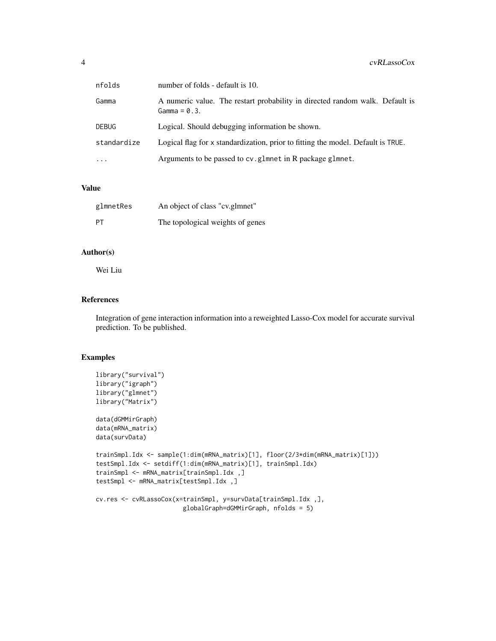| nfolds      | number of folds - default is 10.                                                                |
|-------------|-------------------------------------------------------------------------------------------------|
| Gamma       | A numeric value. The restart probability in directed random walk. Default is<br>$Gamma = 0.3$ . |
| DEBUG       | Logical. Should debugging information be shown.                                                 |
| standardize | Logical flag for x standardization, prior to fitting the model. Default is TRUE.                |
| .           | Arguments to be passed to cv. glmnet in R package glmnet.                                       |

#### Value

| glmnetRes | An object of class "cv.glmnet"   |
|-----------|----------------------------------|
| PT.       | The topological weights of genes |

#### Author(s)

Wei Liu

#### References

Integration of gene interaction information into a reweighted Lasso-Cox model for accurate survival prediction. To be published.

#### Examples

```
library("survival")
library("igraph")
library("glmnet")
library("Matrix")
data(dGMMirGraph)
data(mRNA_matrix)
data(survData)
trainSmpl.Idx <- sample(1:dim(mRNA_matrix)[1], floor(2/3*dim(mRNA_matrix)[1]))
testSmpl.Idx <- setdiff(1:dim(mRNA_matrix)[1], trainSmpl.Idx)
trainSmpl <- mRNA_matrix[trainSmpl.Idx ,]
testSmpl <- mRNA_matrix[testSmpl.Idx ,]
cv.res <- cvRLassoCox(x=trainSmpl, y=survData[trainSmpl.Idx ,],
                        globalGraph=dGMMirGraph, nfolds = 5)
```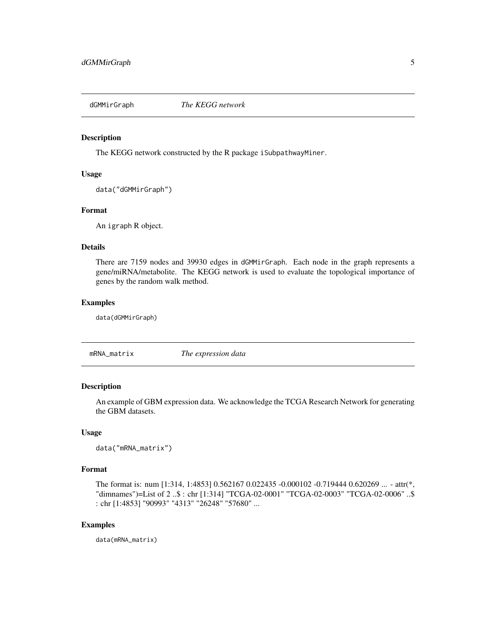<span id="page-4-0"></span>

#### Description

The KEGG network constructed by the R package iSubpathwayMiner.

#### Usage

```
data("dGMMirGraph")
```
#### Format

An igraph R object.

#### Details

There are 7159 nodes and 39930 edges in dGMMirGraph. Each node in the graph represents a gene/miRNA/metabolite. The KEGG network is used to evaluate the topological importance of genes by the random walk method.

#### Examples

data(dGMMirGraph)

| mRNA_matrix | The expression data |  |
|-------------|---------------------|--|
|             |                     |  |

#### Description

An example of GBM expression data. We acknowledge the TCGA Research Network for generating the GBM datasets.

#### Usage

```
data("mRNA_matrix")
```
#### Format

The format is: num [1:314, 1:4853] 0.562167 0.022435 -0.000102 -0.719444 0.620269 ... - attr(\*, "dimnames")=List of 2 ..\$ : chr [1:314] "TCGA-02-0001" "TCGA-02-0003" "TCGA-02-0006" ..\$ : chr [1:4853] "90993" "4313" "26248" "57680" ...

#### Examples

data(mRNA\_matrix)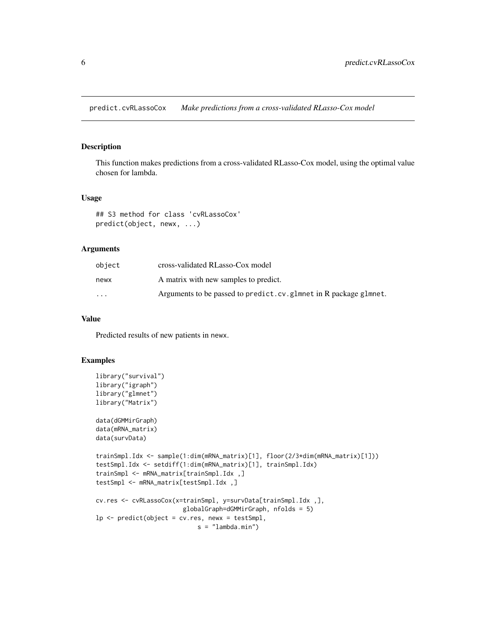<span id="page-5-0"></span>predict.cvRLassoCox *Make predictions from a cross-validated RLasso-Cox model*

#### Description

This function makes predictions from a cross-validated RLasso-Cox model, using the optimal value chosen for lambda.

#### Usage

```
## S3 method for class 'cvRLassoCox'
predict(object, newx, ...)
```
#### Arguments

| object                  | cross-validated RLasso-Cox model                                 |
|-------------------------|------------------------------------------------------------------|
| newx                    | A matrix with new samples to predict.                            |
| $\cdot$ $\cdot$ $\cdot$ | Arguments to be passed to predict.cv.glmnet in R package glmnet. |

#### Value

Predicted results of new patients in newx.

#### Examples

```
library("survival")
library("igraph")
library("glmnet")
library("Matrix")
data(dGMMirGraph)
data(mRNA_matrix)
data(survData)
trainSmpl.Idx <- sample(1:dim(mRNA_matrix)[1], floor(2/3*dim(mRNA_matrix)[1]))
testSmpl.Idx <- setdiff(1:dim(mRNA_matrix)[1], trainSmpl.Idx)
trainSmpl <- mRNA_matrix[trainSmpl.Idx ,]
testSmpl <- mRNA_matrix[testSmpl.Idx ,]
cv.res <- cvRLassoCox(x=trainSmpl, y=survData[trainSmpl.Idx ,],
                        globalGraph=dGMMirGraph, nfolds = 5)
lp <- predict(object = cv.res, newx = testSmpl,
                            s = "lambda.min")
```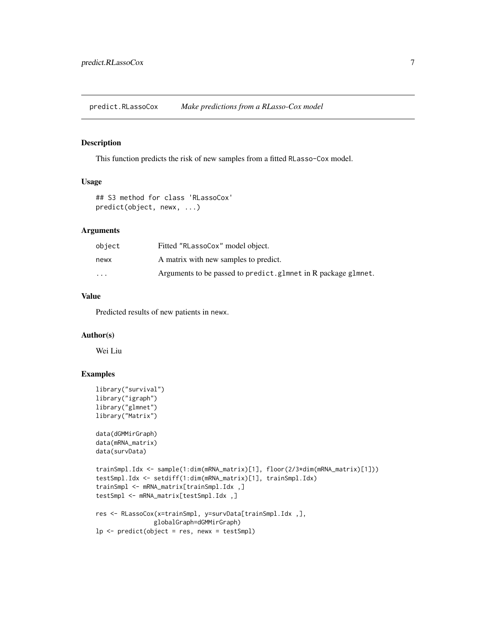<span id="page-6-0"></span>predict.RLassoCox *Make predictions from a RLasso-Cox model*

#### Description

This function predicts the risk of new samples from a fitted RLasso-Cox model.

#### Usage

```
## S3 method for class 'RLassoCox'
predict(object, newx, ...)
```
#### Arguments

| object                  | Fitted "RLassoCox" model object.                              |
|-------------------------|---------------------------------------------------------------|
| newx                    | A matrix with new samples to predict.                         |
| $\cdot$ $\cdot$ $\cdot$ | Arguments to be passed to predict.glmnet in R package glmnet. |

#### Value

Predicted results of new patients in newx.

#### Author(s)

Wei Liu

#### Examples

```
library("survival")
library("igraph")
library("glmnet")
library("Matrix")
data(dGMMirGraph)
data(mRNA_matrix)
data(survData)
trainSmpl.Idx <- sample(1:dim(mRNA_matrix)[1], floor(2/3*dim(mRNA_matrix)[1]))
testSmpl.Idx <- setdiff(1:dim(mRNA_matrix)[1], trainSmpl.Idx)
trainSmpl <- mRNA_matrix[trainSmpl.Idx ,]
testSmpl <- mRNA_matrix[testSmpl.Idx ,]
res <- RLassoCox(x=trainSmpl, y=survData[trainSmpl.Idx ,],
                globalGraph=dGMMirGraph)
lp \leftarrow predict(object = res, newx = testSmpl)
```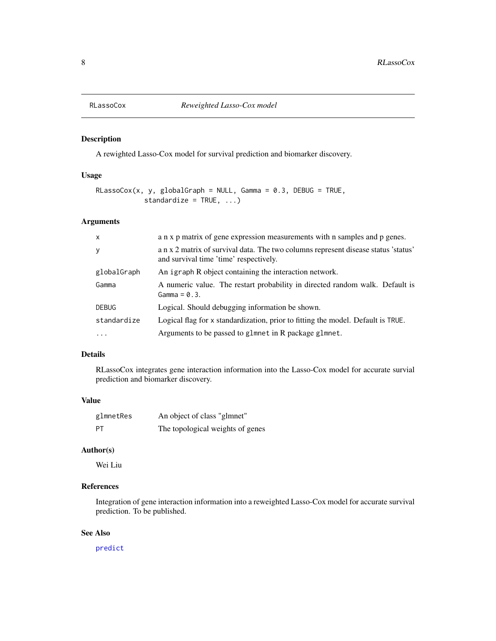<span id="page-7-0"></span>

#### Description

A rewighted Lasso-Cox model for survival prediction and biomarker discovery.

#### Usage

```
RLassoCox(x, y, globalGraph = NULL, Gamma = 0.3, DEBUG = TRUE,standardize = TRUE, ...)
```
#### Arguments

| $\mathsf{x}$ | a n x p matrix of gene expression measurements with n samples and p genes.                                                   |
|--------------|------------------------------------------------------------------------------------------------------------------------------|
| У            | a n x 2 matrix of survival data. The two columns represent disease status 'status'<br>and survival time 'time' respectively. |
| globalGraph  | An igraph R object containing the interaction network.                                                                       |
| Gamma        | A numeric value. The restart probability in directed random walk. Default is<br>$Gamma = 0.3$ .                              |
| <b>DEBUG</b> | Logical. Should debugging information be shown.                                                                              |
| standardize  | Logical flag for x standardization, prior to fitting the model. Default is TRUE.                                             |
|              | Arguments to be passed to glmnet in R package glmnet.                                                                        |

#### Details

RLassoCox integrates gene interaction information into the Lasso-Cox model for accurate survial prediction and biomarker discovery.

#### Value

| glmnetRes | An object of class "glmnet"      |
|-----------|----------------------------------|
| PT        | The topological weights of genes |

#### Author(s)

Wei Liu

#### References

Integration of gene interaction information into a reweighted Lasso-Cox model for accurate survival prediction. To be published.

#### See Also

[predict](#page-0-0)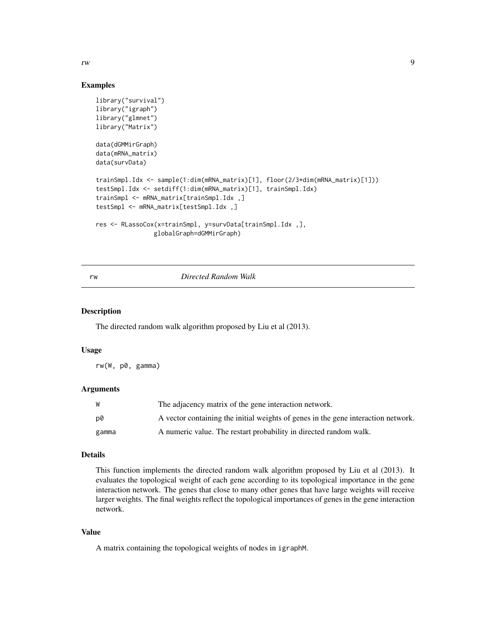<span id="page-8-0"></span>rw two seconds are the contract of the contract of the contract of the contract of the contract of the contract of the contract of the contract of the contract of the contract of the contract of the contract of the contrac

#### Examples

```
library("survival")
library("igraph")
library("glmnet")
library("Matrix")
data(dGMMirGraph)
data(mRNA_matrix)
data(survData)
trainSmpl.Idx <- sample(1:dim(mRNA_matrix)[1], floor(2/3*dim(mRNA_matrix)[1]))
testSmpl.Idx <- setdiff(1:dim(mRNA_matrix)[1], trainSmpl.Idx)
trainSmpl <- mRNA_matrix[trainSmpl.Idx ,]
testSmpl <- mRNA_matrix[testSmpl.Idx ,]
res <- RLassoCox(x=trainSmpl, y=survData[trainSmpl.Idx ,],
                globalGraph=dGMMirGraph)
```
#### rw *Directed Random Walk*

#### Description

The directed random walk algorithm proposed by Liu et al (2013).

#### Usage

rw(W, p0, gamma)

#### **Arguments**

| W     | The adjacency matrix of the gene interaction network.                             |
|-------|-----------------------------------------------------------------------------------|
| p0    | A vector containing the initial weights of genes in the gene interaction network. |
| gamma | A numeric value. The restart probability in directed random walk.                 |

#### Details

This function implements the directed random walk algorithm proposed by Liu et al (2013). It evaluates the topological weight of each gene according to its topological importance in the gene interaction network. The genes that close to many other genes that have large weights will receive larger weights. The final weights reflect the topological importances of genes in the gene interaction network.

#### Value

A matrix containing the topological weights of nodes in igraphM.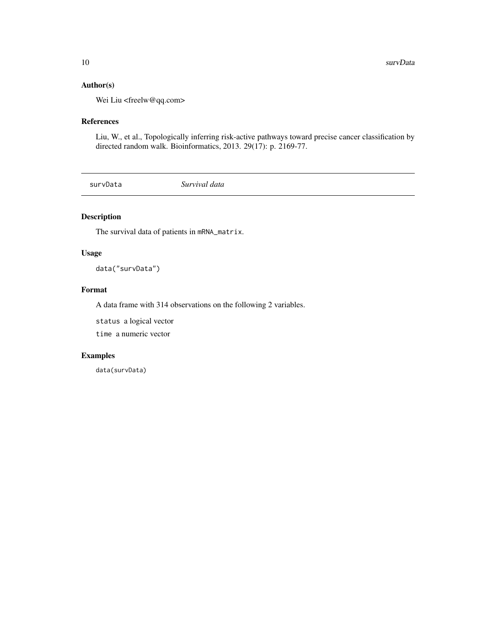#### <span id="page-9-0"></span>Author(s)

Wei Liu <freelw@qq.com>

#### References

Liu, W., et al., Topologically inferring risk-active pathways toward precise cancer classification by directed random walk. Bioinformatics, 2013. 29(17): p. 2169-77.

survData *Survival data*

#### Description

The survival data of patients in mRNA\_matrix.

#### Usage

data("survData")

#### Format

A data frame with 314 observations on the following 2 variables.

status a logical vector

time a numeric vector

#### Examples

data(survData)